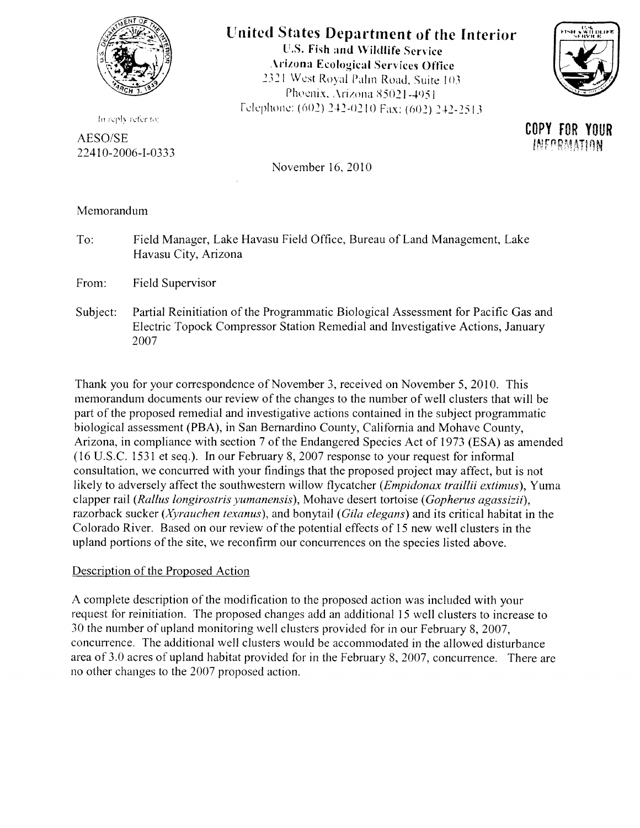

## **If nitcd States Departrnent of the Interior**

U.S. Fish and Wildlife Service Arizona Ecological Services Office 2321 West Royal Palm Road, Suite 103 Phoenix, Arizona 85021-4951 Felephone: (602) 242-0210 Fax: (602) 242-2513



**COPY FOR YOUR** INFARMATION

In reply refer to:

AESO/SE 22410-2006-I-0333

November 16,2010

Memorandum

To: Field Manager, Lake Havasu Field Office, Bureau of Land Management, Lake Havasu City, Arizona

From: Field Supervisor

Subject: Partial Reinitiation of the Programmatic Biological Assessment for Pacific Gas and Electric Topock Compressor Station Remedial and Investigative Actions, January 2007

Thank you for your correspondence of November 3, received on November 5, 2010. This memorandum documents our review of the changes to the number of well clusters that will be part of the proposed remedial and investigative actions contained in the subject programmatic biological assessment (PBA), in San Bernardino County, California and Mohave County, Arizona, in compliance with section 7 of the Endangered Species Act of 1973 (ESA) as amended (16 U.S.c. 1531 et seq.). In our February 8,2007 response to your request for informal consultation, we concurred with your findings that the proposed project may affect, but is not likely to adversely affect the southwestern willow flycatcher *(Empidonax traillii extimus),* Yuma clapper rail *(Rallus longirostris yumanensis),* Mohave desert tortoise *(Gopherus agassizii),*  razorback sucker *(Xyrauchen texanus),* and bonytail *(Gila elegans)* and its critical habitat in the Colorado River. Based on our review of the potential effects of 15 new well clusters in the upland portions of the site, we reconfirm our concurrences on the species listed above.

## Description of the Proposed Action

A complete description of the modification to the proposed action was included with your request for reinitiation. The proposed changes add an additional IS well clusters to increase to 30 the number of upland monitoring well clusters provided for in our February 8, 2007, concurrence. The additional well clusters would be accommodated in the allowed disturbance area of 3.0 acres of upland habitat provided for in the February 8, 2007, concurrence. There are no other changes to the 2007 proposed action.